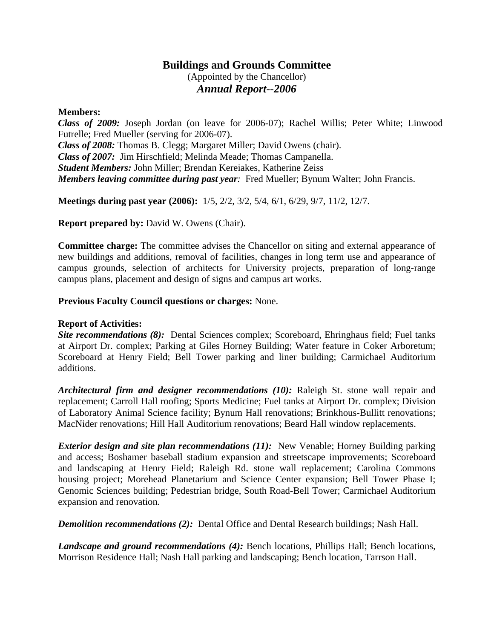## **Buildings and Grounds Committee** (Appointed by the Chancellor) *Annual Report--2006*

## **Members:**

*Class of 2009:* Joseph Jordan (on leave for 2006-07); Rachel Willis; Peter White; Linwood Futrelle; Fred Mueller (serving for 2006-07). *Class of 2008:* Thomas B. Clegg; Margaret Miller; David Owens (chair). *Class of 2007:* Jim Hirschfield; Melinda Meade; Thomas Campanella. *Student Members:* John Miller; Brendan Kereiakes, Katherine Zeiss *Members leaving committee during past year:* Fred Mueller; Bynum Walter; John Francis.

**Meetings during past year (2006):** 1/5, 2/2, 3/2, 5/4, 6/1, 6/29, 9/7, 11/2, 12/7.

**Report prepared by:** David W. Owens (Chair).

**Committee charge:** The committee advises the Chancellor on siting and external appearance of new buildings and additions, removal of facilities, changes in long term use and appearance of campus grounds, selection of architects for University projects, preparation of long-range campus plans, placement and design of signs and campus art works.

## **Previous Faculty Council questions or charges:** None.

## **Report of Activities:**

*Site recommendations (8):* Dental Sciences complex; Scoreboard, Ehringhaus field; Fuel tanks at Airport Dr. complex; Parking at Giles Horney Building; Water feature in Coker Arboretum; Scoreboard at Henry Field; Bell Tower parking and liner building; Carmichael Auditorium additions.

*Architectural firm and designer recommendations (10):* Raleigh St. stone wall repair and replacement; Carroll Hall roofing; Sports Medicine; Fuel tanks at Airport Dr. complex; Division of Laboratory Animal Science facility; Bynum Hall renovations; Brinkhous-Bullitt renovations; MacNider renovations; Hill Hall Auditorium renovations; Beard Hall window replacements.

*Exterior design and site plan recommendations (11):* New Venable; Horney Building parking and access; Boshamer baseball stadium expansion and streetscape improvements; Scoreboard and landscaping at Henry Field; Raleigh Rd. stone wall replacement; Carolina Commons housing project; Morehead Planetarium and Science Center expansion; Bell Tower Phase I; Genomic Sciences building; Pedestrian bridge, South Road-Bell Tower; Carmichael Auditorium expansion and renovation.

*Demolition recommendations (2):* Dental Office and Dental Research buildings; Nash Hall.

*Landscape and ground recommendations (4):* Bench locations, Phillips Hall; Bench locations, Morrison Residence Hall; Nash Hall parking and landscaping; Bench location, Tarrson Hall.